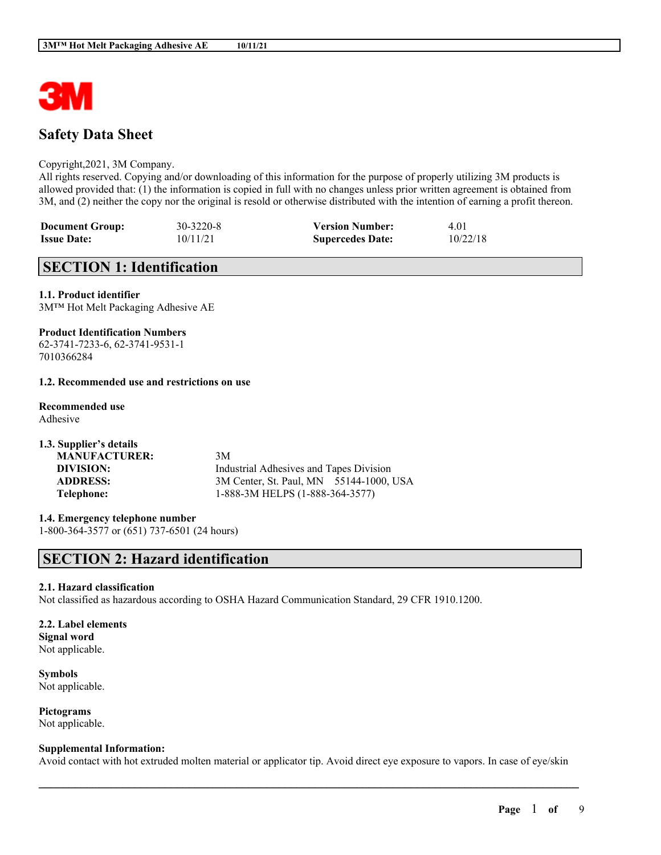

# **Safety Data Sheet**

### Copyright,2021, 3M Company.

All rights reserved. Copying and/or downloading of this information for the purpose of properly utilizing 3M products is allowed provided that: (1) the information is copied in full with no changes unless prior written agreement is obtained from 3M, and (2) neither the copy nor the original is resold or otherwise distributed with the intention of earning a profit thereon.

| <b>Document Group:</b> | 30-3220-8 | <b>Version Number:</b>  | 4.01     |
|------------------------|-----------|-------------------------|----------|
| <b>Issue Date:</b>     | 10/11/21  | <b>Supercedes Date:</b> | 10/22/18 |

# **SECTION 1: Identification**

# **1.1. Product identifier**

3M™ Hot Melt Packaging Adhesive AE

## **Product Identification Numbers**

62-3741-7233-6, 62-3741-9531-1 7010366284

## **1.2. Recommended use and restrictions on use**

# **Recommended use**

Adhesive

| 3M                                      |
|-----------------------------------------|
| Industrial Adhesives and Tapes Division |
| 3M Center, St. Paul, MN 55144-1000, USA |
| 1-888-3M HELPS (1-888-364-3577)         |
|                                         |

**1.4. Emergency telephone number** 1-800-364-3577 or (651) 737-6501 (24 hours)

# **SECTION 2: Hazard identification**

# **2.1. Hazard classification**

Not classified as hazardous according to OSHA Hazard Communication Standard, 29 CFR 1910.1200.

### **2.2. Label elements Signal word**

Not applicable.

**Symbols** Not applicable.

**Pictograms** Not applicable.

### **Supplemental Information:**

Avoid contact with hot extruded molten material or applicator tip. Avoid direct eye exposure to vapors. In case of eye/skin

 $\mathcal{L}_\mathcal{L} = \mathcal{L}_\mathcal{L} = \mathcal{L}_\mathcal{L} = \mathcal{L}_\mathcal{L} = \mathcal{L}_\mathcal{L} = \mathcal{L}_\mathcal{L} = \mathcal{L}_\mathcal{L} = \mathcal{L}_\mathcal{L} = \mathcal{L}_\mathcal{L} = \mathcal{L}_\mathcal{L} = \mathcal{L}_\mathcal{L} = \mathcal{L}_\mathcal{L} = \mathcal{L}_\mathcal{L} = \mathcal{L}_\mathcal{L} = \mathcal{L}_\mathcal{L} = \mathcal{L}_\mathcal{L} = \mathcal{L}_\mathcal{L}$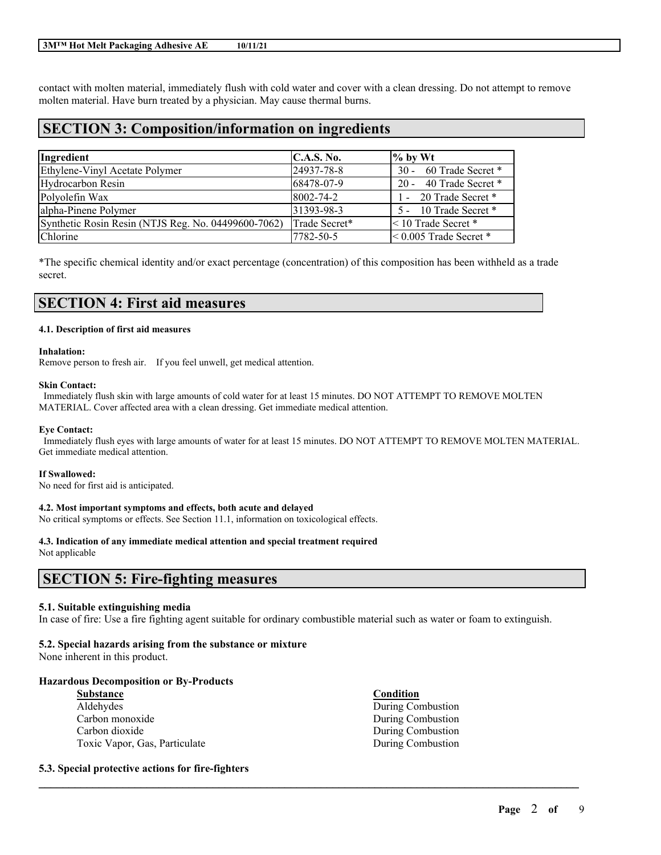### **3M™ Hot Melt Packaging Adhesive AE 10/11/21**

contact with molten material, immediately flush with cold water and cover with a clean dressing. Do not attempt to remove molten material. Have burn treated by a physician. May cause thermal burns.

# **SECTION 3: Composition/information on ingredients**

| Ingredient                                          | <b>C.A.S. No.</b> | $\frac{9}{6}$ by Wt           |
|-----------------------------------------------------|-------------------|-------------------------------|
| Ethylene-Vinyl Acetate Polymer                      | 24937-78-8        | 30 - 60 Trade Secret *        |
| Hydrocarbon Resin                                   | 68478-07-9        | 20 - 40 Trade Secret *        |
| Polyolefin Wax                                      | 8002-74-2         | 1 - 20 Trade Secret *         |
| alpha-Pinene Polymer                                | 31393-98-3        | 5 - 10 Trade Secret *         |
| Synthetic Rosin Resin (NTJS Reg. No. 04499600-7062) | Trade Secret*     | $\leq 10$ Trade Secret *      |
| Chlorine                                            | 7782-50-5         | $\leq 0.005$ Trade Secret $*$ |

\*The specific chemical identity and/or exact percentage (concentration) of this composition has been withheld as a trade secret.

# **SECTION 4: First aid measures**

#### **4.1. Description of first aid measures**

#### **Inhalation:**

Remove person to fresh air. If you feel unwell, get medical attention.

#### **Skin Contact:**

Immediately flush skin with large amounts of cold water for at least 15 minutes. DO NOT ATTEMPT TO REMOVE MOLTEN MATERIAL. Cover affected area with a clean dressing. Get immediate medical attention.

#### **Eye Contact:**

Immediately flush eyes with large amounts of water for at least 15 minutes. DO NOT ATTEMPT TO REMOVE MOLTEN MATERIAL. Get immediate medical attention.

### **If Swallowed:**

No need for first aid is anticipated.

### **4.2. Most important symptoms and effects, both acute and delayed**

No critical symptoms or effects. See Section 11.1, information on toxicological effects.

# **4.3. Indication of any immediate medical attention and special treatment required**

Not applicable

# **SECTION 5: Fire-fighting measures**

### **5.1. Suitable extinguishing media**

In case of fire: Use a fire fighting agent suitable for ordinary combustible material such as water or foam to extinguish.

 $\mathcal{L}_\mathcal{L} = \mathcal{L}_\mathcal{L} = \mathcal{L}_\mathcal{L} = \mathcal{L}_\mathcal{L} = \mathcal{L}_\mathcal{L} = \mathcal{L}_\mathcal{L} = \mathcal{L}_\mathcal{L} = \mathcal{L}_\mathcal{L} = \mathcal{L}_\mathcal{L} = \mathcal{L}_\mathcal{L} = \mathcal{L}_\mathcal{L} = \mathcal{L}_\mathcal{L} = \mathcal{L}_\mathcal{L} = \mathcal{L}_\mathcal{L} = \mathcal{L}_\mathcal{L} = \mathcal{L}_\mathcal{L} = \mathcal{L}_\mathcal{L}$ 

### **5.2. Special hazards arising from the substance or mixture**

None inherent in this product.

### **Hazardous Decomposition or By-Products**

| <b>Substance</b>              | Condition         |
|-------------------------------|-------------------|
| Aldehydes                     | During Combustion |
| Carbon monoxide               | During Combustion |
| Carbon dioxide                | During Combustion |
| Toxic Vapor, Gas, Particulate | During Combustion |
|                               |                   |

### **5.3. Special protective actions for fire-fighters**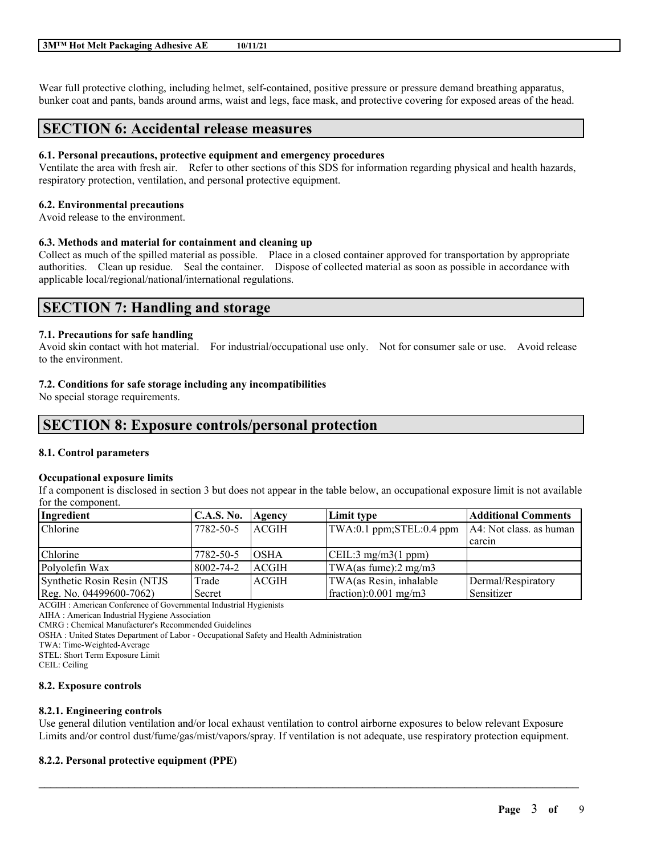Wear full protective clothing, including helmet, self-contained, positive pressure or pressure demand breathing apparatus, bunker coat and pants, bands around arms, waist and legs, face mask, and protective covering for exposed areas of the head.

# **SECTION 6: Accidental release measures**

### **6.1. Personal precautions, protective equipment and emergency procedures**

Ventilate the area with fresh air. Refer to other sections of this SDS for information regarding physical and health hazards, respiratory protection, ventilation, and personal protective equipment.

## **6.2. Environmental precautions**

Avoid release to the environment.

## **6.3. Methods and material for containment and cleaning up**

Collect as much of the spilled material as possible. Place in a closed container approved for transportation by appropriate authorities. Clean up residue. Seal the container. Dispose of collected material as soon as possible in accordance with applicable local/regional/national/international regulations.

# **SECTION 7: Handling and storage**

## **7.1. Precautions for safe handling**

Avoid skin contact with hot material. For industrial/occupational use only. Not for consumer sale or use. Avoid release to the environment.

## **7.2. Conditions for safe storage including any incompatibilities**

No special storage requirements.

# **SECTION 8: Exposure controls/personal protection**

### **8.1. Control parameters**

### **Occupational exposure limits**

If a component is disclosed in section 3 but does not appear in the table below, an occupational exposure limit is not available for the component.

| Ingredient                  | <b>C.A.S. No.</b> | <b>Agency</b> | Limit type                       | <b>Additional Comments</b> |
|-----------------------------|-------------------|---------------|----------------------------------|----------------------------|
| Chlorine                    | 7782-50-5         | <b>LACGIH</b> | TWA:0.1 ppm;STEL:0.4 ppm         | $AA$ : Not class. as human |
|                             |                   |               |                                  | carcin                     |
| <b>Chlorine</b>             | 7782-50-5         | <b>OSHA</b>   | $\vert$ CEIL:3 mg/m3(1 ppm)      |                            |
| Polyolefin Wax              | 8002-74-2         | <b>ACGIH</b>  | TWA(as fume): $2 \text{ mg/m}$ 3 |                            |
| Synthetic Rosin Resin (NTJS | Trade             | <b>LACGIH</b> | TWA(as Resin, inhalable          | Dermal/Respiratory         |
| Reg. No. 04499600-7062)     | Secret            |               | fraction):0.001 mg/m3            | <b>Sensitizer</b>          |

ACGIH : American Conference of Governmental Industrial Hygienists

AIHA : American Industrial Hygiene Association

CMRG : Chemical Manufacturer's Recommended Guidelines

OSHA : United States Department of Labor - Occupational Safety and Health Administration

TWA: Time-Weighted-Average

STEL: Short Term Exposure Limit

CEIL: Ceiling

### **8.2. Exposure controls**

### **8.2.1. Engineering controls**

Use general dilution ventilation and/or local exhaust ventilation to control airborne exposures to below relevant Exposure Limits and/or control dust/fume/gas/mist/vapors/spray. If ventilation is not adequate, use respiratory protection equipment.

 $\mathcal{L}_\mathcal{L} = \mathcal{L}_\mathcal{L} = \mathcal{L}_\mathcal{L} = \mathcal{L}_\mathcal{L} = \mathcal{L}_\mathcal{L} = \mathcal{L}_\mathcal{L} = \mathcal{L}_\mathcal{L} = \mathcal{L}_\mathcal{L} = \mathcal{L}_\mathcal{L} = \mathcal{L}_\mathcal{L} = \mathcal{L}_\mathcal{L} = \mathcal{L}_\mathcal{L} = \mathcal{L}_\mathcal{L} = \mathcal{L}_\mathcal{L} = \mathcal{L}_\mathcal{L} = \mathcal{L}_\mathcal{L} = \mathcal{L}_\mathcal{L}$ 

# **8.2.2. Personal protective equipment (PPE)**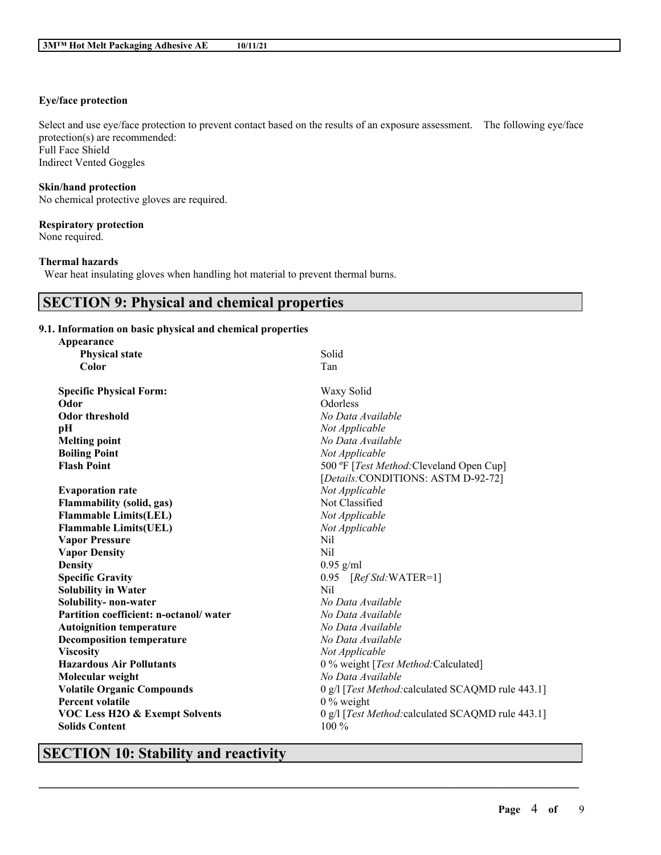# **Eye/face protection**

Select and use eye/face protection to prevent contact based on the results of an exposure assessment. The following eye/face protection(s) are recommended: Full Face Shield Indirect Vented Goggles

### **Skin/hand protection**

No chemical protective gloves are required.

### **Respiratory protection**

None required.

# **Thermal hazards**

Wear heat insulating gloves when handling hot material to prevent thermal burns.

# **SECTION 9: Physical and chemical properties**

## **9.1. Information on basic physical and chemical properties**

| Appearance                                |                                                   |
|-------------------------------------------|---------------------------------------------------|
| <b>Physical state</b>                     | Solid                                             |
| Color                                     | Tan                                               |
|                                           |                                                   |
| <b>Specific Physical Form:</b>            | Waxy Solid                                        |
| Odor                                      | Odorless                                          |
| <b>Odor threshold</b>                     | No Data Available                                 |
| pH                                        | Not Applicable                                    |
| <b>Melting point</b>                      | No Data Available                                 |
| <b>Boiling Point</b>                      | Not Applicable                                    |
| <b>Flash Point</b>                        | 500 °F [Test Method: Cleveland Open Cup]          |
|                                           | [Details:CONDITIONS: ASTM D-92-72]                |
| <b>Evaporation rate</b>                   | Not Applicable                                    |
| <b>Flammability (solid, gas)</b>          | Not Classified                                    |
| <b>Flammable Limits(LEL)</b>              | Not Applicable                                    |
| <b>Flammable Limits(UEL)</b>              | Not Applicable                                    |
| <b>Vapor Pressure</b>                     | Nil                                               |
| <b>Vapor Density</b>                      | Nil                                               |
| <b>Density</b>                            | $0.95$ g/ml                                       |
| <b>Specific Gravity</b>                   | 0.95<br>$[RefStd:WATER=1]$                        |
| <b>Solubility in Water</b>                | Nil                                               |
| Solubility- non-water                     | No Data Available                                 |
| Partition coefficient: n-octanol/water    | No Data Available                                 |
| <b>Autoignition temperature</b>           | No Data Available                                 |
| <b>Decomposition temperature</b>          | No Data Available                                 |
| <b>Viscosity</b>                          | Not Applicable                                    |
| <b>Hazardous Air Pollutants</b>           | 0 % weight [Test Method: Calculated]              |
| Molecular weight                          | No Data Available                                 |
| <b>Volatile Organic Compounds</b>         | 0 g/l [Test Method: calculated SCAQMD rule 443.1] |
| <b>Percent volatile</b>                   | $0\%$ weight                                      |
| <b>VOC Less H2O &amp; Exempt Solvents</b> | 0 g/l [Test Method: calculated SCAQMD rule 443.1] |
| <b>Solids Content</b>                     | $100\%$                                           |
|                                           |                                                   |

 $\mathcal{L}_\mathcal{L} = \mathcal{L}_\mathcal{L} = \mathcal{L}_\mathcal{L} = \mathcal{L}_\mathcal{L} = \mathcal{L}_\mathcal{L} = \mathcal{L}_\mathcal{L} = \mathcal{L}_\mathcal{L} = \mathcal{L}_\mathcal{L} = \mathcal{L}_\mathcal{L} = \mathcal{L}_\mathcal{L} = \mathcal{L}_\mathcal{L} = \mathcal{L}_\mathcal{L} = \mathcal{L}_\mathcal{L} = \mathcal{L}_\mathcal{L} = \mathcal{L}_\mathcal{L} = \mathcal{L}_\mathcal{L} = \mathcal{L}_\mathcal{L}$ 

# **SECTION 10: Stability and reactivity**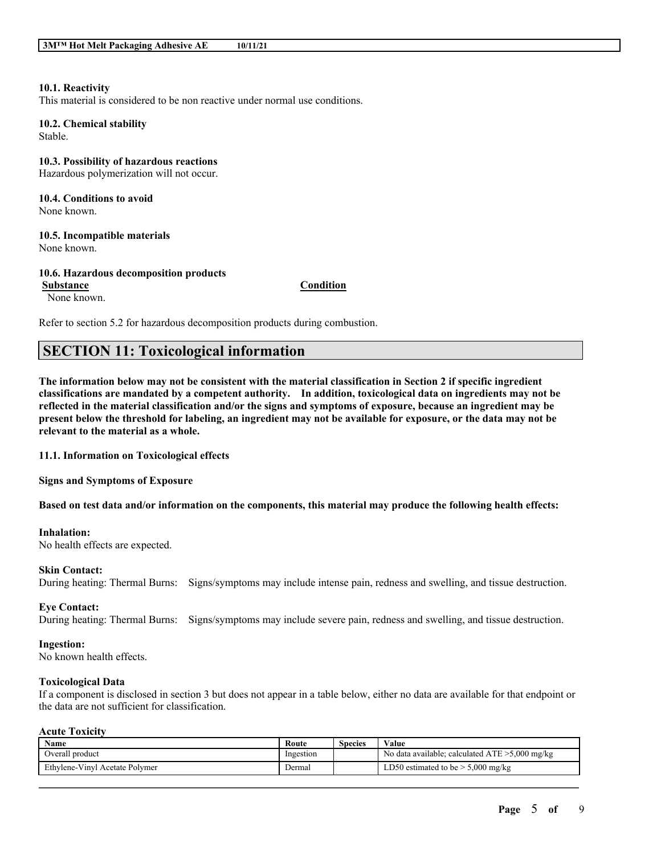### **10.1. Reactivity**

This material is considered to be non reactive under normal use conditions.

**10.2. Chemical stability** Stable.

**10.3. Possibility of hazardous reactions** Hazardous polymerization will not occur.

**10.4. Conditions to avoid** None known.

**10.5. Incompatible materials** None known.

**10.6. Hazardous decomposition products**

**Substance Condition**

None known.

Refer to section 5.2 for hazardous decomposition products during combustion.

# **SECTION 11: Toxicological information**

The information below may not be consistent with the material classification in Section 2 if specific ingredient **classifications are mandated by a competent authority. In addition, toxicological data on ingredients may not be** reflected in the material classification and/or the signs and symptoms of exposure, because an ingredient may be present below the threshold for labeling, an ingredient may not be available for exposure, or the data may not be **relevant to the material as a whole.**

**11.1. Information on Toxicological effects**

**Signs and Symptoms of Exposure**

Based on test data and/or information on the components, this material may produce the following health effects:

#### **Inhalation:**

No health effects are expected.

### **Skin Contact:**

During heating: Thermal Burns: Signs/symptoms may include intense pain, redness and swelling, and tissue destruction.

#### **Eye Contact:**

During heating: Thermal Burns: Signs/symptoms may include severe pain, redness and swelling, and tissue destruction.

#### **Ingestion:**

No known health effects.

#### **Toxicological Data**

If a component is disclosed in section 3 but does not appear in a table below, either no data are available for that endpoint or the data are not sufficient for classification.

#### **Acute Toxicity**

| Name                           | Route     | Species | Value                                             |
|--------------------------------|-----------|---------|---------------------------------------------------|
| Overall product                | Ingestion |         | No data available; calculated $ATE > 5,000$ mg/kg |
| Ethylene-Vinyl Acetate Polymer | Dermal    |         | LD50 estimated to be $> 5,000$ mg/kg              |

 $\mathcal{L}_\mathcal{L} = \mathcal{L}_\mathcal{L} = \mathcal{L}_\mathcal{L} = \mathcal{L}_\mathcal{L} = \mathcal{L}_\mathcal{L} = \mathcal{L}_\mathcal{L} = \mathcal{L}_\mathcal{L} = \mathcal{L}_\mathcal{L} = \mathcal{L}_\mathcal{L} = \mathcal{L}_\mathcal{L} = \mathcal{L}_\mathcal{L} = \mathcal{L}_\mathcal{L} = \mathcal{L}_\mathcal{L} = \mathcal{L}_\mathcal{L} = \mathcal{L}_\mathcal{L} = \mathcal{L}_\mathcal{L} = \mathcal{L}_\mathcal{L}$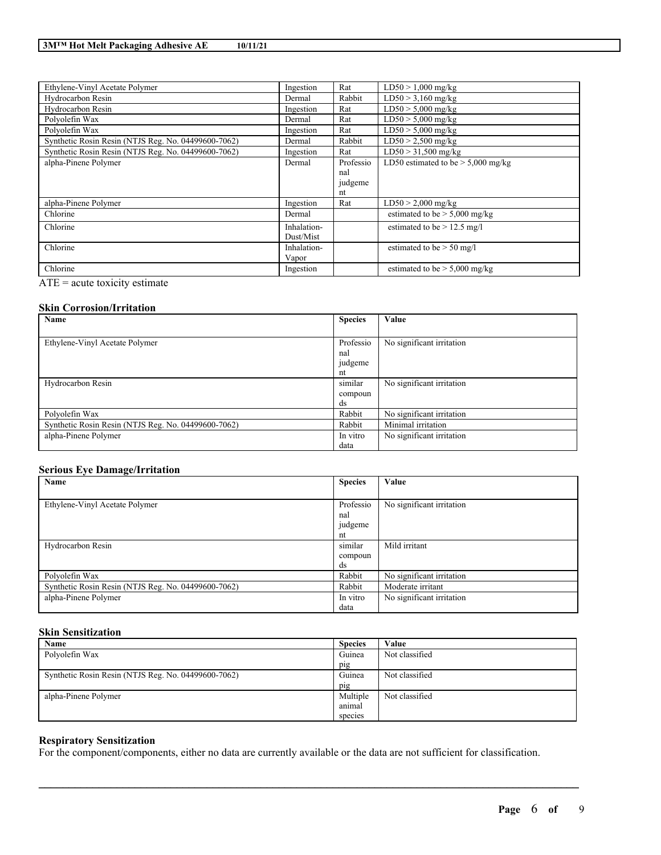| Ethylene-Vinyl Acetate Polymer                      | Ingestion   | Rat       | $LD50 > 1,000$ mg/kg                 |
|-----------------------------------------------------|-------------|-----------|--------------------------------------|
| Hydrocarbon Resin                                   | Dermal      | Rabbit    | $LD50 > 3,160$ mg/kg                 |
| Hydrocarbon Resin                                   | Ingestion   | Rat       | $LD50 > 5,000$ mg/kg                 |
| Polvolefin Wax                                      | Dermal      | Rat       | $LD50 > 5,000$ mg/kg                 |
| Polyolefin Wax                                      | Ingestion   | Rat       | $LD50 > 5,000$ mg/kg                 |
| Synthetic Rosin Resin (NTJS Reg. No. 04499600-7062) | Dermal      | Rabbit    | $LD50 > 2,500$ mg/kg                 |
| Synthetic Rosin Resin (NTJS Reg. No. 04499600-7062) | Ingestion   | Rat       | $LD50 > 31,500$ mg/kg                |
| alpha-Pinene Polymer                                | Dermal      | Professio | LD50 estimated to be $> 5,000$ mg/kg |
|                                                     |             | nal       |                                      |
|                                                     |             | judgeme   |                                      |
|                                                     |             | nt        |                                      |
| alpha-Pinene Polymer                                | Ingestion   | Rat       | $LD50 > 2,000$ mg/kg                 |
| Chlorine                                            | Dermal      |           | estimated to be $> 5,000$ mg/kg      |
| Chlorine                                            | Inhalation- |           | estimated to be $> 12.5$ mg/l        |
|                                                     | Dust/Mist   |           |                                      |
| Chlorine                                            | Inhalation- |           | estimated to be $> 50$ mg/l          |
|                                                     | Vapor       |           |                                      |
| Chlorine                                            | Ingestion   |           | estimated to be $> 5,000$ mg/kg      |

 $ATE = acute$  toxicity estimate

### **Skin Corrosion/Irritation**

| Name                                                | <b>Species</b> | Value                     |
|-----------------------------------------------------|----------------|---------------------------|
|                                                     |                |                           |
| Ethylene-Vinyl Acetate Polymer                      | Professio      | No significant irritation |
|                                                     | nal            |                           |
|                                                     | judgeme        |                           |
|                                                     | nt             |                           |
| Hydrocarbon Resin                                   | similar        | No significant irritation |
|                                                     | compoun        |                           |
|                                                     | ds             |                           |
| Polyolefin Wax                                      | Rabbit         | No significant irritation |
| Synthetic Rosin Resin (NTJS Reg. No. 04499600-7062) | Rabbit         | Minimal irritation        |
| alpha-Pinene Polymer                                | In vitro       | No significant irritation |
|                                                     | data           |                           |

## **Serious Eye Damage/Irritation**

| Name                                                | <b>Species</b> | Value                     |
|-----------------------------------------------------|----------------|---------------------------|
|                                                     |                |                           |
| Ethylene-Vinyl Acetate Polymer                      | Professio      | No significant irritation |
|                                                     | nal            |                           |
|                                                     | judgeme        |                           |
|                                                     | nt             |                           |
| Hydrocarbon Resin                                   | similar        | Mild irritant             |
|                                                     | compoun        |                           |
|                                                     | ds             |                           |
| Polyolefin Wax                                      | Rabbit         | No significant irritation |
| Synthetic Rosin Resin (NTJS Reg. No. 04499600-7062) | Rabbit         | Moderate irritant         |
| alpha-Pinene Polymer                                | In vitro       | No significant irritation |
|                                                     | data           |                           |

# **Skin Sensitization**

| Name                                                | <b>Species</b> | Value          |
|-----------------------------------------------------|----------------|----------------|
| Polyolefin Wax                                      | Guinea         | Not classified |
|                                                     | pig            |                |
| Synthetic Rosin Resin (NTJS Reg. No. 04499600-7062) | Guinea         | Not classified |
|                                                     | pig            |                |
| alpha-Pinene Polymer                                | Multiple       | Not classified |
|                                                     | animal         |                |
|                                                     | species        |                |

 $\mathcal{L}_\mathcal{L} = \mathcal{L}_\mathcal{L} = \mathcal{L}_\mathcal{L} = \mathcal{L}_\mathcal{L} = \mathcal{L}_\mathcal{L} = \mathcal{L}_\mathcal{L} = \mathcal{L}_\mathcal{L} = \mathcal{L}_\mathcal{L} = \mathcal{L}_\mathcal{L} = \mathcal{L}_\mathcal{L} = \mathcal{L}_\mathcal{L} = \mathcal{L}_\mathcal{L} = \mathcal{L}_\mathcal{L} = \mathcal{L}_\mathcal{L} = \mathcal{L}_\mathcal{L} = \mathcal{L}_\mathcal{L} = \mathcal{L}_\mathcal{L}$ 

## **Respiratory Sensitization**

For the component/components, either no data are currently available or the data are not sufficient for classification.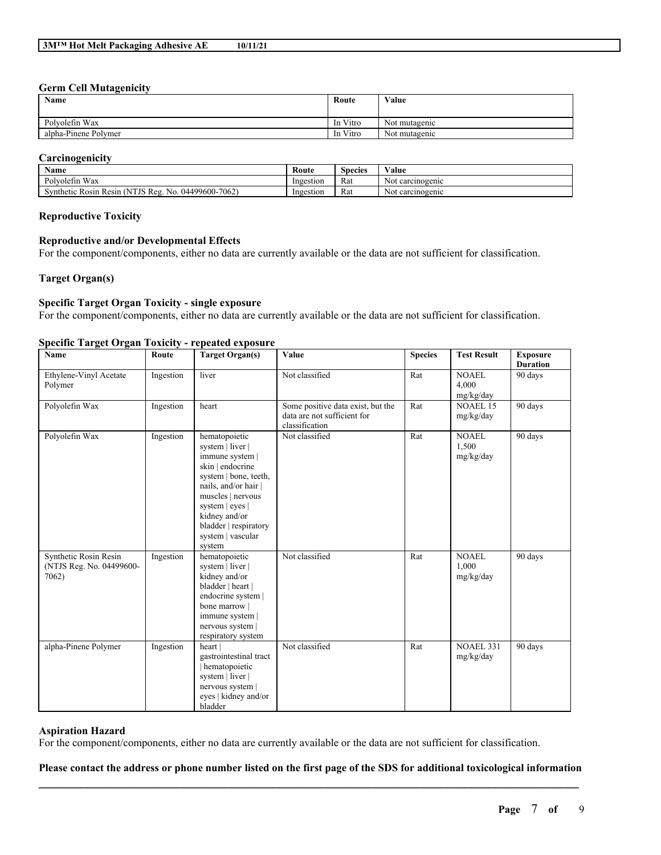### **Germ Cell Mutagenicity**

| Name                 | Route    | Value         |
|----------------------|----------|---------------|
| Polyolefin Wax       | In Vitro | Not mutagenic |
| alpha-Pinene Polymer | In Vitro | Not mutagenic |

## **Carcinogenicity**

| Name                                                                                            | Route     | Species | ⁄ alue                |
|-------------------------------------------------------------------------------------------------|-----------|---------|-----------------------|
| <b>YYY</b><br>$\mathbf{r}$<br><b>Wax</b><br>Polyoletin                                          | Ingestion | Rat     | Not carcinogenic      |
| 04499600-7062)<br>$\mathbf{r}$<br>Reg.<br><b>AITIS</b><br>Synthetic Rosin<br>Resin<br>N0<br>ں ن | Ingestion | Rat     | : carcinogenic<br>Not |

### **Reproductive Toxicity**

### **Reproductive and/or Developmental Effects**

For the component/components, either no data are currently available or the data are not sufficient for classification.

## **Target Organ(s)**

# **Specific Target Organ Toxicity - single exposure**

For the component/components, either no data are currently available or the data are not sufficient for classification.

### **Specific Target Organ Toxicity - repeated exposure**

| Name                                                       | Route     | <b>Target Organ(s)</b>                                                                                                                                                                                                                   | Value                                                                              | <b>Species</b> | <b>Test Result</b>                 | <b>Exposure</b><br><b>Duration</b> |
|------------------------------------------------------------|-----------|------------------------------------------------------------------------------------------------------------------------------------------------------------------------------------------------------------------------------------------|------------------------------------------------------------------------------------|----------------|------------------------------------|------------------------------------|
| Ethylene-Vinyl Acetate<br>Polymer                          | Ingestion | liver                                                                                                                                                                                                                                    | Not classified                                                                     | Rat            | <b>NOAEL</b><br>4,000<br>mg/kg/day | 90 days                            |
| Polyolefin Wax                                             | Ingestion | heart                                                                                                                                                                                                                                    | Some positive data exist, but the<br>data are not sufficient for<br>classification | Rat            | <b>NOAEL 15</b><br>mg/kg/day       | 90 days                            |
| Polyolefin Wax                                             | Ingestion | hematopoietic<br>system   liver  <br>immune system  <br>skin   endocrine<br>system   bone, teeth,<br>nails, and/or hair<br>muscles   nervous<br>system   eyes  <br>kidney and/or<br>bladder   respiratory<br>system   vascular<br>system | Not classified                                                                     | Rat            | <b>NOAEL</b><br>1,500<br>mg/kg/day | 90 days                            |
| Synthetic Rosin Resin<br>(NTJS Reg. No. 04499600-<br>7062) | Ingestion | hematopoietic<br>system   liver  <br>kidney and/or<br>bladder   heart  <br>endocrine system  <br>bone marrow<br>immune system  <br>nervous system  <br>respiratory system                                                                | Not classified                                                                     | Rat            | <b>NOAEL</b><br>1,000<br>mg/kg/day | 90 days                            |
| alpha-Pinene Polymer                                       | Ingestion | heart  <br>gastrointestinal tract<br>hematopoietic<br>system   liver  <br>nervous system  <br>eyes   kidney and/or<br>bladder                                                                                                            | Not classified                                                                     | Rat            | <b>NOAEL 331</b><br>mg/kg/day      | 90 days                            |

## **Aspiration Hazard**

For the component/components, either no data are currently available or the data are not sufficient for classification.

# $\mathcal{L}_\mathcal{L} = \mathcal{L}_\mathcal{L} = \mathcal{L}_\mathcal{L} = \mathcal{L}_\mathcal{L} = \mathcal{L}_\mathcal{L} = \mathcal{L}_\mathcal{L} = \mathcal{L}_\mathcal{L} = \mathcal{L}_\mathcal{L} = \mathcal{L}_\mathcal{L} = \mathcal{L}_\mathcal{L} = \mathcal{L}_\mathcal{L} = \mathcal{L}_\mathcal{L} = \mathcal{L}_\mathcal{L} = \mathcal{L}_\mathcal{L} = \mathcal{L}_\mathcal{L} = \mathcal{L}_\mathcal{L} = \mathcal{L}_\mathcal{L}$ Please contact the address or phone number listed on the first page of the SDS for additional toxicological information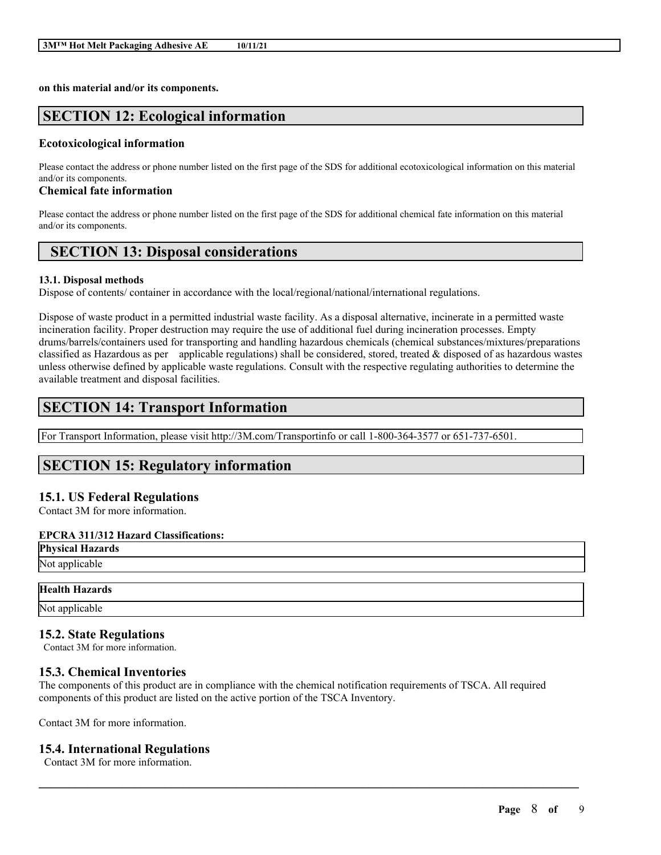**on this material and/or its components.**

# **SECTION 12: Ecological information**

## **Ecotoxicological information**

Please contact the address or phone number listed on the first page of the SDS for additional ecotoxicological information on this material and/or its components.

# **Chemical fate information**

Please contact the address or phone number listed on the first page of the SDS for additional chemical fate information on this material and/or its components.

# **SECTION 13: Disposal considerations**

## **13.1. Disposal methods**

Dispose of contents/ container in accordance with the local/regional/national/international regulations.

Dispose of waste product in a permitted industrial waste facility. As a disposal alternative, incinerate in a permitted waste incineration facility. Proper destruction may require the use of additional fuel during incineration processes. Empty drums/barrels/containers used for transporting and handling hazardous chemicals (chemical substances/mixtures/preparations classified as Hazardous as per applicable regulations) shall be considered, stored, treated  $\&$  disposed of as hazardous wastes unless otherwise defined by applicable waste regulations. Consult with the respective regulating authorities to determine the available treatment and disposal facilities.

# **SECTION 14: Transport Information**

For Transport Information, please visit http://3M.com/Transportinfo or call 1-800-364-3577 or 651-737-6501.

# **SECTION 15: Regulatory information**

# **15.1. US Federal Regulations**

Contact 3M for more information.

# **EPCRA 311/312 Hazard Classifications:**

**Physical Hazards** Not applicable

# **Health Hazards**

Not applicable

# **15.2. State Regulations**

Contact 3M for more information.

# **15.3. Chemical Inventories**

The components of this product are in compliance with the chemical notification requirements of TSCA. All required components of this product are listed on the active portion of the TSCA Inventory.

 $\mathcal{L}_\mathcal{L} = \mathcal{L}_\mathcal{L} = \mathcal{L}_\mathcal{L} = \mathcal{L}_\mathcal{L} = \mathcal{L}_\mathcal{L} = \mathcal{L}_\mathcal{L} = \mathcal{L}_\mathcal{L} = \mathcal{L}_\mathcal{L} = \mathcal{L}_\mathcal{L} = \mathcal{L}_\mathcal{L} = \mathcal{L}_\mathcal{L} = \mathcal{L}_\mathcal{L} = \mathcal{L}_\mathcal{L} = \mathcal{L}_\mathcal{L} = \mathcal{L}_\mathcal{L} = \mathcal{L}_\mathcal{L} = \mathcal{L}_\mathcal{L}$ 

Contact 3M for more information.

# **15.4. International Regulations**

Contact 3M for more information.